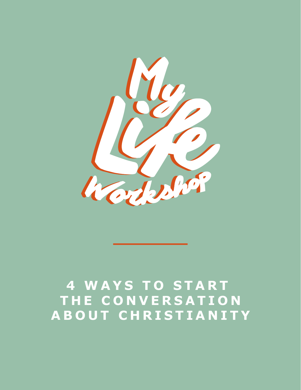

#### **4 WAYS TO START THE CONVERSATION ABOUT CHRISTIANITY**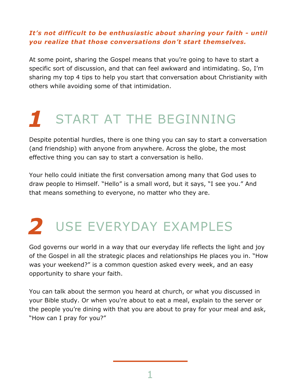#### *It's not difficult to be enthusiastic about sharing your faith - until you realize that those conversations don't start themselves.*

At some point, sharing the Gospel means that you're going to have to start a specific sort of discussion, and that can feel awkward and intimidating. So, I'm sharing my top 4 tips to help you start that conversation about Christianity with others while avoiding some of that intimidation.

### *1* START AT THE BEGINNING

Despite potential hurdles, there is one thing you can say to start a conversation (and friendship) with anyone from anywhere. Across the globe, the most effective thing you can say to start a conversation is hello.

Your hello could initiate the first conversation among many that God uses to draw people to Himself. "Hello" is a small word, but it says, "I see you." And that means something to everyone, no matter who they are.

## *2* USE EVERYDAY EXAMPLES

God governs our world in a way that our everyday life reflects the light and joy of the Gospel in all the strategic places and relationships He places you in. "How was your weekend?" is a common question asked every week, and an easy opportunity to share your faith.

You can talk about the sermon you heard at church, or what you discussed in your Bible study. Or when you're about to eat a meal, explain to the server or the people you're dining with that you are about to pray for your meal and ask, "How can I pray for you?"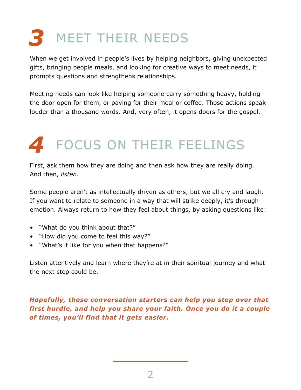# *3* MEET THEIR NEEDS

When we get involved in people's lives by helping neighbors, giving unexpected gifts, bringing people meals, and looking for creative ways to meet needs, it prompts questions and strengthens relationships.

Meeting needs can look like helping someone carry something heavy, holding the door open for them, or paying for their meal or coffee. Those actions speak louder than a thousand words. And, very often, it opens doors for the gospel.

### *4* FOCUS ON THEIR FEELINGS

First, ask them how they are doing and then ask how they are really doing. And then, *listen*.

Some people aren't as intellectually driven as others, but we all cry and laugh. If you want to relate to someone in a way that will strike deeply, it's through emotion. Always return to how they feel about things, by asking questions like:

- "What do you think about that?"
- "How did you come to feel this way?"
- "What's it like for you when that happens?"

Listen attentively and learn where they're at in their spiritual journey and what the next step could be.

*Hopefully, these conversation starters can help you step over that first hurdle, and help you share your faith. Once you do it a couple of times, you'll find that it gets easier.*